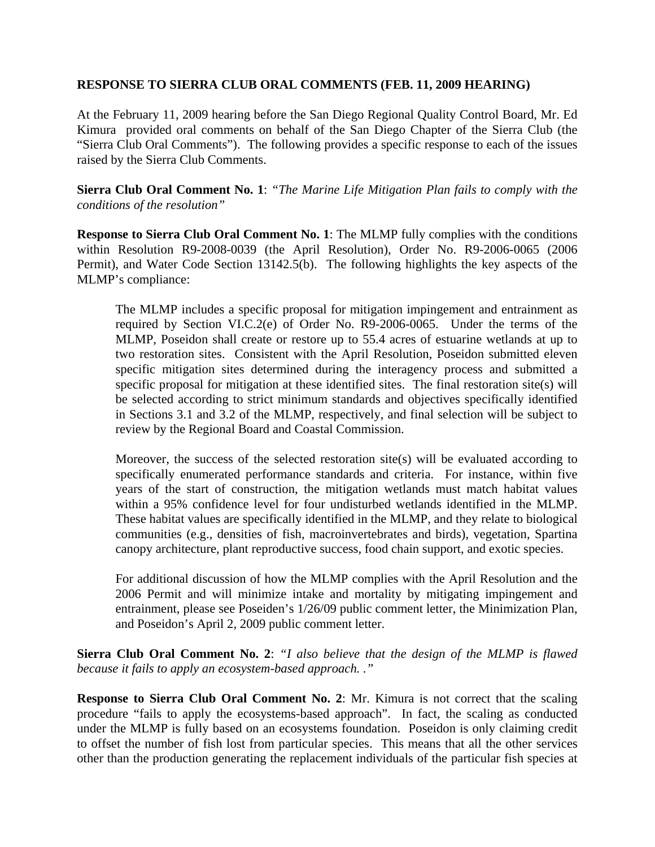## **RESPONSE TO SIERRA CLUB ORAL COMMENTS (FEB. 11, 2009 HEARING)**

At the February 11, 2009 hearing before the San Diego Regional Quality Control Board, Mr. Ed Kimura provided oral comments on behalf of the San Diego Chapter of the Sierra Club (the "Sierra Club Oral Comments"). The following provides a specific response to each of the issues raised by the Sierra Club Comments.

**Sierra Club Oral Comment No. 1**: *"The Marine Life Mitigation Plan fails to comply with the conditions of the resolution"*

**Response to Sierra Club Oral Comment No. 1**: The MLMP fully complies with the conditions within Resolution R9-2008-0039 (the April Resolution), Order No. R9-2006-0065 (2006 Permit), and Water Code Section 13142.5(b). The following highlights the key aspects of the MLMP's compliance:

The MLMP includes a specific proposal for mitigation impingement and entrainment as required by Section VI.C.2(e) of Order No. R9-2006-0065. Under the terms of the MLMP, Poseidon shall create or restore up to 55.4 acres of estuarine wetlands at up to two restoration sites. Consistent with the April Resolution, Poseidon submitted eleven specific mitigation sites determined during the interagency process and submitted a specific proposal for mitigation at these identified sites. The final restoration site(s) will be selected according to strict minimum standards and objectives specifically identified in Sections 3.1 and 3.2 of the MLMP, respectively, and final selection will be subject to review by the Regional Board and Coastal Commission.

Moreover, the success of the selected restoration site(s) will be evaluated according to specifically enumerated performance standards and criteria. For instance, within five years of the start of construction, the mitigation wetlands must match habitat values within a 95% confidence level for four undisturbed wetlands identified in the MLMP. These habitat values are specifically identified in the MLMP, and they relate to biological communities (e.g., densities of fish, macroinvertebrates and birds), vegetation, Spartina canopy architecture, plant reproductive success, food chain support, and exotic species.

For additional discussion of how the MLMP complies with the April Resolution and the 2006 Permit and will minimize intake and mortality by mitigating impingement and entrainment, please see Poseiden's 1/26/09 public comment letter, the Minimization Plan, and Poseidon's April 2, 2009 public comment letter.

**Sierra Club Oral Comment No. 2**: *"I also believe that the design of the MLMP is flawed because it fails to apply an ecosystem-based approach. ."*

**Response to Sierra Club Oral Comment No. 2**: Mr. Kimura is not correct that the scaling procedure "fails to apply the ecosystems-based approach". In fact, the scaling as conducted under the MLMP is fully based on an ecosystems foundation. Poseidon is only claiming credit to offset the number of fish lost from particular species. This means that all the other services other than the production generating the replacement individuals of the particular fish species at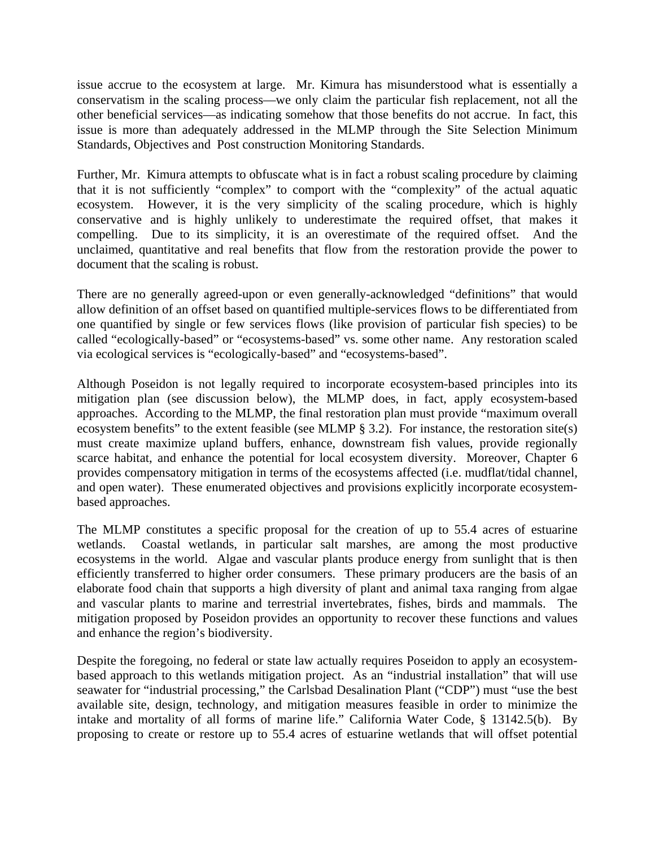issue accrue to the ecosystem at large. Mr. Kimura has misunderstood what is essentially a conservatism in the scaling process—we only claim the particular fish replacement, not all the other beneficial services—as indicating somehow that those benefits do not accrue. In fact, this issue is more than adequately addressed in the MLMP through the Site Selection Minimum Standards, Objectives and Post construction Monitoring Standards.

Further, Mr. Kimura attempts to obfuscate what is in fact a robust scaling procedure by claiming that it is not sufficiently "complex" to comport with the "complexity" of the actual aquatic ecosystem. However, it is the very simplicity of the scaling procedure, which is highly conservative and is highly unlikely to underestimate the required offset, that makes it compelling. Due to its simplicity, it is an overestimate of the required offset. And the unclaimed, quantitative and real benefits that flow from the restoration provide the power to document that the scaling is robust.

There are no generally agreed-upon or even generally-acknowledged "definitions" that would allow definition of an offset based on quantified multiple-services flows to be differentiated from one quantified by single or few services flows (like provision of particular fish species) to be called "ecologically-based" or "ecosystems-based" vs. some other name. Any restoration scaled via ecological services is "ecologically-based" and "ecosystems-based".

Although Poseidon is not legally required to incorporate ecosystem-based principles into its mitigation plan (see discussion below), the MLMP does, in fact, apply ecosystem-based approaches. According to the MLMP, the final restoration plan must provide "maximum overall ecosystem benefits" to the extent feasible (see MLMP § 3.2). For instance, the restoration site(s) must create maximize upland buffers, enhance, downstream fish values, provide regionally scarce habitat, and enhance the potential for local ecosystem diversity. Moreover, Chapter 6 provides compensatory mitigation in terms of the ecosystems affected (i.e. mudflat/tidal channel, and open water). These enumerated objectives and provisions explicitly incorporate ecosystembased approaches.

The MLMP constitutes a specific proposal for the creation of up to 55.4 acres of estuarine wetlands. Coastal wetlands, in particular salt marshes, are among the most productive ecosystems in the world. Algae and vascular plants produce energy from sunlight that is then efficiently transferred to higher order consumers. These primary producers are the basis of an elaborate food chain that supports a high diversity of plant and animal taxa ranging from algae and vascular plants to marine and terrestrial invertebrates, fishes, birds and mammals. The mitigation proposed by Poseidon provides an opportunity to recover these functions and values and enhance the region's biodiversity.

Despite the foregoing, no federal or state law actually requires Poseidon to apply an ecosystembased approach to this wetlands mitigation project. As an "industrial installation" that will use seawater for "industrial processing," the Carlsbad Desalination Plant ("CDP") must "use the best available site, design, technology, and mitigation measures feasible in order to minimize the intake and mortality of all forms of marine life." California Water Code, § 13142.5(b). By proposing to create or restore up to 55.4 acres of estuarine wetlands that will offset potential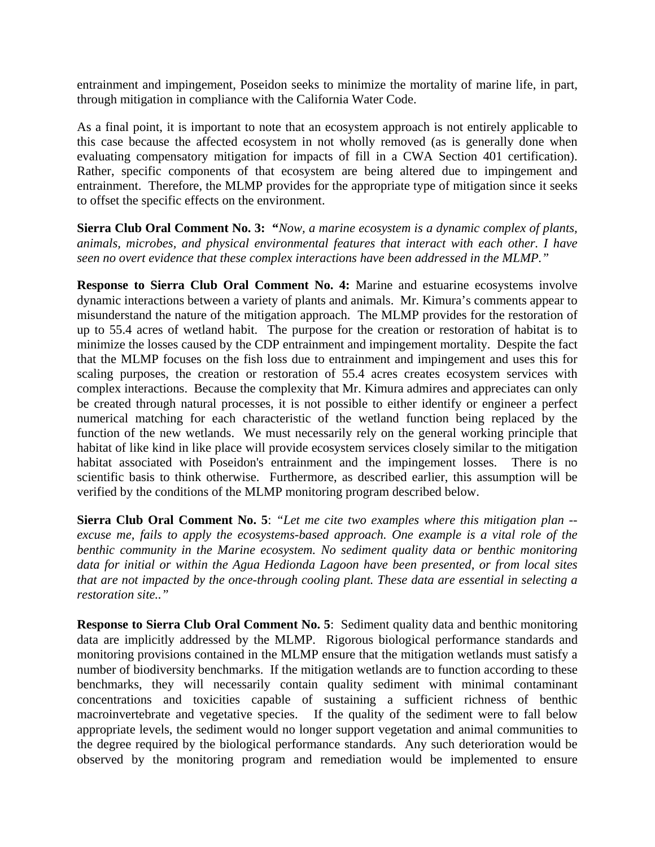entrainment and impingement, Poseidon seeks to minimize the mortality of marine life, in part, through mitigation in compliance with the California Water Code.

As a final point, it is important to note that an ecosystem approach is not entirely applicable to this case because the affected ecosystem in not wholly removed (as is generally done when evaluating compensatory mitigation for impacts of fill in a CWA Section 401 certification). Rather, specific components of that ecosystem are being altered due to impingement and entrainment. Therefore, the MLMP provides for the appropriate type of mitigation since it seeks to offset the specific effects on the environment.

**Sierra Club Oral Comment No. 3: "***Now, a marine ecosystem is a dynamic complex of plants, animals, microbes, and physical environmental features that interact with each other. I have seen no overt evidence that these complex interactions have been addressed in the MLMP."* 

**Response to Sierra Club Oral Comment No. 4:** Marine and estuarine ecosystems involve dynamic interactions between a variety of plants and animals. Mr. Kimura's comments appear to misunderstand the nature of the mitigation approach. The MLMP provides for the restoration of up to 55.4 acres of wetland habit. The purpose for the creation or restoration of habitat is to minimize the losses caused by the CDP entrainment and impingement mortality. Despite the fact that the MLMP focuses on the fish loss due to entrainment and impingement and uses this for scaling purposes, the creation or restoration of 55.4 acres creates ecosystem services with complex interactions. Because the complexity that Mr. Kimura admires and appreciates can only be created through natural processes, it is not possible to either identify or engineer a perfect numerical matching for each characteristic of the wetland function being replaced by the function of the new wetlands. We must necessarily rely on the general working principle that habitat of like kind in like place will provide ecosystem services closely similar to the mitigation habitat associated with Poseidon's entrainment and the impingement losses. There is no scientific basis to think otherwise. Furthermore, as described earlier, this assumption will be verified by the conditions of the MLMP monitoring program described below.

**Sierra Club Oral Comment No. 5**: *"Let me cite two examples where this mitigation plan - excuse me, fails to apply the ecosystems-based approach. One example is a vital role of the benthic community in the Marine ecosystem. No sediment quality data or benthic monitoring data for initial or within the Agua Hedionda Lagoon have been presented, or from local sites that are not impacted by the once-through cooling plant. These data are essential in selecting a restoration site.."*

**Response to Sierra Club Oral Comment No. 5**: Sediment quality data and benthic monitoring data are implicitly addressed by the MLMP. Rigorous biological performance standards and monitoring provisions contained in the MLMP ensure that the mitigation wetlands must satisfy a number of biodiversity benchmarks. If the mitigation wetlands are to function according to these benchmarks, they will necessarily contain quality sediment with minimal contaminant concentrations and toxicities capable of sustaining a sufficient richness of benthic macroinvertebrate and vegetative species. If the quality of the sediment were to fall below appropriate levels, the sediment would no longer support vegetation and animal communities to the degree required by the biological performance standards. Any such deterioration would be observed by the monitoring program and remediation would be implemented to ensure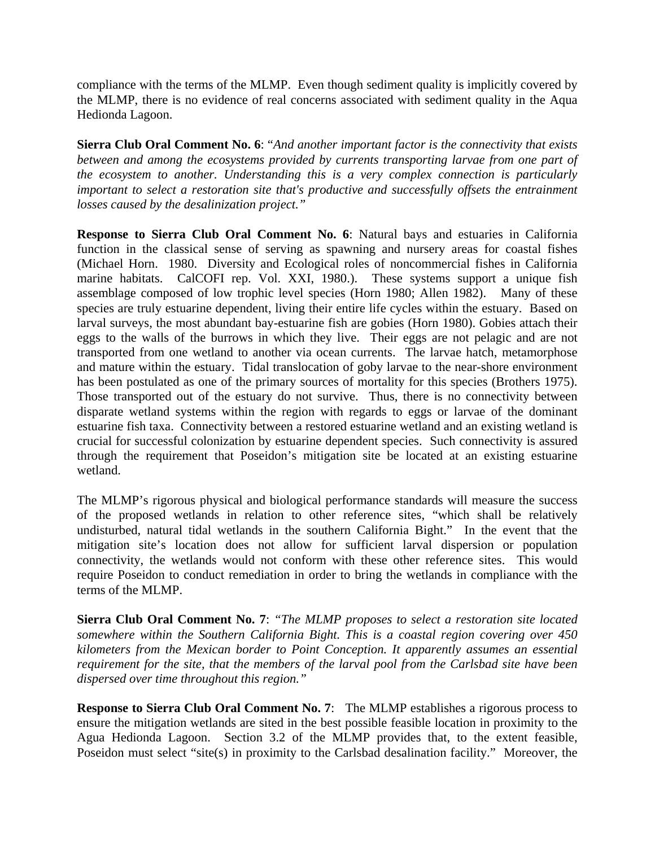compliance with the terms of the MLMP. Even though sediment quality is implicitly covered by the MLMP, there is no evidence of real concerns associated with sediment quality in the Aqua Hedionda Lagoon.

**Sierra Club Oral Comment No. 6**: "*And another important factor is the connectivity that exists between and among the ecosystems provided by currents transporting larvae from one part of the ecosystem to another. Understanding this is a very complex connection is particularly important to select a restoration site that's productive and successfully offsets the entrainment losses caused by the desalinization project."* 

**Response to Sierra Club Oral Comment No. 6**: Natural bays and estuaries in California function in the classical sense of serving as spawning and nursery areas for coastal fishes (Michael Horn. 1980. Diversity and Ecological roles of noncommercial fishes in California marine habitats. CalCOFI rep. Vol. XXI, 1980.). These systems support a unique fish assemblage composed of low trophic level species (Horn 1980; Allen 1982). Many of these species are truly estuarine dependent, living their entire life cycles within the estuary. Based on larval surveys, the most abundant bay-estuarine fish are gobies (Horn 1980). Gobies attach their eggs to the walls of the burrows in which they live. Their eggs are not pelagic and are not transported from one wetland to another via ocean currents. The larvae hatch, metamorphose and mature within the estuary. Tidal translocation of goby larvae to the near-shore environment has been postulated as one of the primary sources of mortality for this species (Brothers 1975). Those transported out of the estuary do not survive. Thus, there is no connectivity between disparate wetland systems within the region with regards to eggs or larvae of the dominant estuarine fish taxa. Connectivity between a restored estuarine wetland and an existing wetland is crucial for successful colonization by estuarine dependent species. Such connectivity is assured through the requirement that Poseidon's mitigation site be located at an existing estuarine wetland.

The MLMP's rigorous physical and biological performance standards will measure the success of the proposed wetlands in relation to other reference sites, "which shall be relatively undisturbed, natural tidal wetlands in the southern California Bight." In the event that the mitigation site's location does not allow for sufficient larval dispersion or population connectivity, the wetlands would not conform with these other reference sites. This would require Poseidon to conduct remediation in order to bring the wetlands in compliance with the terms of the MLMP.

**Sierra Club Oral Comment No. 7**: *"The MLMP proposes to select a restoration site located somewhere within the Southern California Bight. This is a coastal region covering over 450 kilometers from the Mexican border to Point Conception. It apparently assumes an essential requirement for the site, that the members of the larval pool from the Carlsbad site have been dispersed over time throughout this region."* 

**Response to Sierra Club Oral Comment No. 7**: The MLMP establishes a rigorous process to ensure the mitigation wetlands are sited in the best possible feasible location in proximity to the Agua Hedionda Lagoon. Section 3.2 of the MLMP provides that, to the extent feasible, Poseidon must select "site(s) in proximity to the Carlsbad desalination facility." Moreover, the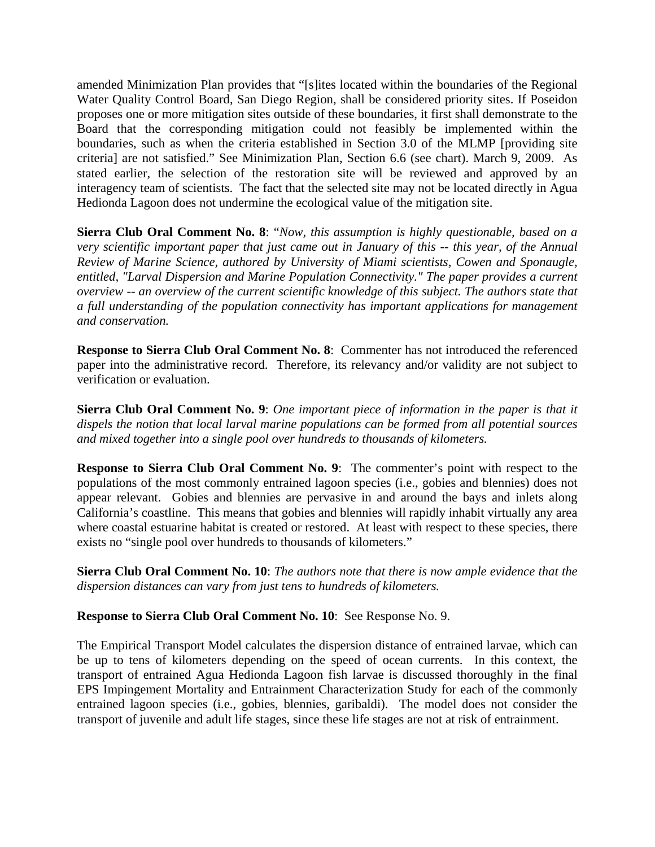amended Minimization Plan provides that "[s]ites located within the boundaries of the Regional Water Quality Control Board, San Diego Region, shall be considered priority sites. If Poseidon proposes one or more mitigation sites outside of these boundaries, it first shall demonstrate to the Board that the corresponding mitigation could not feasibly be implemented within the boundaries, such as when the criteria established in Section 3.0 of the MLMP [providing site criteria] are not satisfied." See Minimization Plan, Section 6.6 (see chart). March 9, 2009. As stated earlier, the selection of the restoration site will be reviewed and approved by an interagency team of scientists. The fact that the selected site may not be located directly in Agua Hedionda Lagoon does not undermine the ecological value of the mitigation site.

**Sierra Club Oral Comment No. 8**: "*Now, this assumption is highly questionable, based on a very scientific important paper that just came out in January of this -- this year, of the Annual Review of Marine Science, authored by University of Miami scientists, Cowen and Sponaugle, entitled, "Larval Dispersion and Marine Population Connectivity." The paper provides a current overview -- an overview of the current scientific knowledge of this subject. The authors state that a full understanding of the population connectivity has important applications for management and conservation.* 

**Response to Sierra Club Oral Comment No. 8**: Commenter has not introduced the referenced paper into the administrative record. Therefore, its relevancy and/or validity are not subject to verification or evaluation.

**Sierra Club Oral Comment No. 9**: *One important piece of information in the paper is that it dispels the notion that local larval marine populations can be formed from all potential sources and mixed together into a single pool over hundreds to thousands of kilometers.* 

**Response to Sierra Club Oral Comment No. 9**: The commenter's point with respect to the populations of the most commonly entrained lagoon species (i.e., gobies and blennies) does not appear relevant. Gobies and blennies are pervasive in and around the bays and inlets along California's coastline. This means that gobies and blennies will rapidly inhabit virtually any area where coastal estuarine habitat is created or restored. At least with respect to these species, there exists no "single pool over hundreds to thousands of kilometers."

**Sierra Club Oral Comment No. 10**: *The authors note that there is now ample evidence that the dispersion distances can vary from just tens to hundreds of kilometers.* 

**Response to Sierra Club Oral Comment No. 10**: See Response No. 9.

The Empirical Transport Model calculates the dispersion distance of entrained larvae, which can be up to tens of kilometers depending on the speed of ocean currents. In this context, the transport of entrained Agua Hedionda Lagoon fish larvae is discussed thoroughly in the final EPS Impingement Mortality and Entrainment Characterization Study for each of the commonly entrained lagoon species (i.e., gobies, blennies, garibaldi). The model does not consider the transport of juvenile and adult life stages, since these life stages are not at risk of entrainment.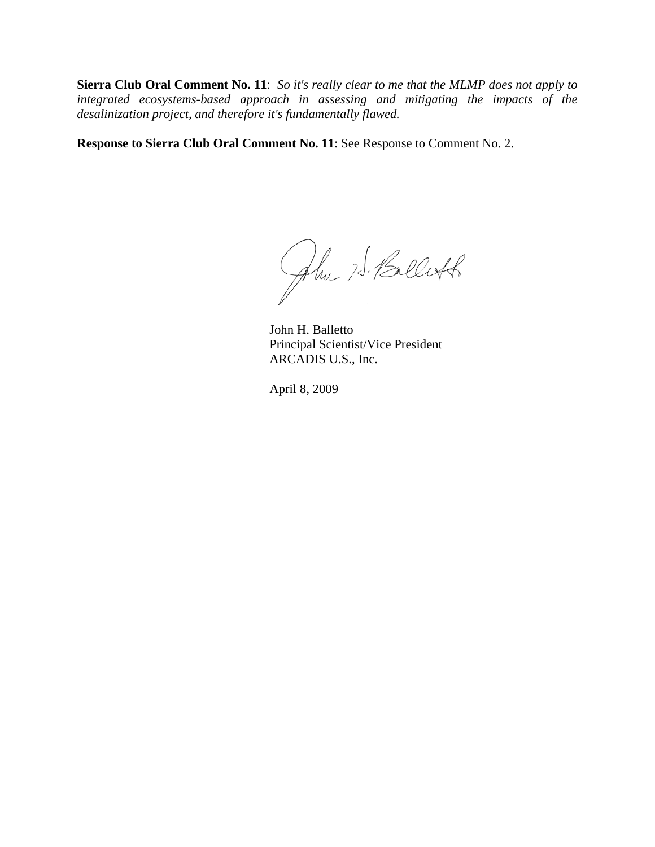**Sierra Club Oral Comment No. 11**: *So it's really clear to me that the MLMP does not apply to integrated ecosystems-based approach in assessing and mitigating the impacts of the desalinization project, and therefore it's fundamentally flawed.* 

**Response to Sierra Club Oral Comment No. 11**: See Response to Comment No. 2.

John 75. Belett

John H. Balletto Principal Scientist/Vice President ARCADIS U.S., Inc.

April 8, 2009